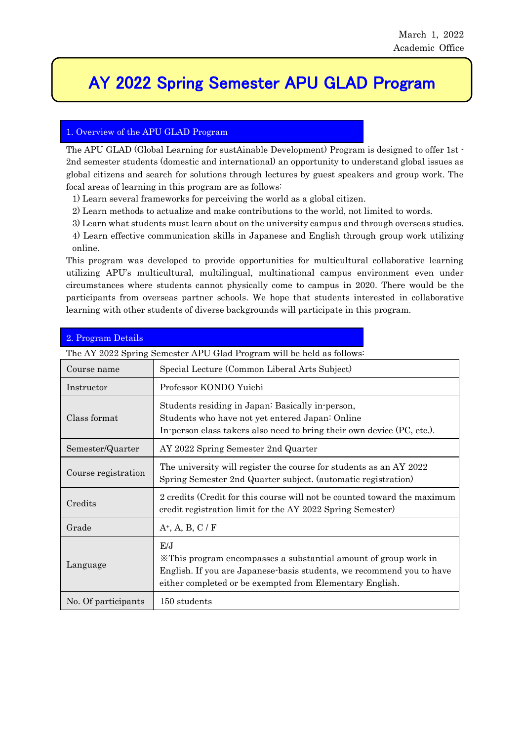í

# AY 2022 Spring Semester APU GLAD Program

## 1. Overview of the APU GLAD Program

The APU GLAD (Global Learning for sustAinable Development) Program is designed to offer 1st - 2nd semester students (domestic and international) an opportunity to understand global issues as global citizens and search for solutions through lectures by guest speakers and group work. The focal areas of learning in this program are as follows:

1) Learn several frameworks for perceiving the world as a global citizen.

2) Learn methods to actualize and make contributions to the world, not limited to words.

3) Learn what students must learn about on the university campus and through overseas studies.

4) Learn effective communication skills in Japanese and English through group work utilizing online.

This program was developed to provide opportunities for multicultural collaborative learning utilizing APU's multicultural, multilingual, multinational campus environment even under circumstances where students cannot physically come to campus in 2020. There would be the participants from overseas partner schools. We hope that students interested in collaborative learning with other students of diverse backgrounds will participate in this program.

| <u>z. Frogram Detans</u>                                              |                                                                                                                                                                                                              |  |  |
|-----------------------------------------------------------------------|--------------------------------------------------------------------------------------------------------------------------------------------------------------------------------------------------------------|--|--|
| The AY 2022 Spring Semester APU Glad Program will be held as follows: |                                                                                                                                                                                                              |  |  |
| Course name                                                           | Special Lecture (Common Liberal Arts Subject)                                                                                                                                                                |  |  |
| Instructor                                                            | Professor KONDO Yuichi                                                                                                                                                                                       |  |  |
| Class format                                                          | Students residing in Japan: Basically in-person,<br>Students who have not yet entered Japan: Online<br>In-person class takers also need to bring their own device (PC, etc.).                                |  |  |
| Semester/Quarter                                                      | AY 2022 Spring Semester 2nd Quarter                                                                                                                                                                          |  |  |
| Course registration                                                   | The university will register the course for students as an AY 2022<br>Spring Semester 2nd Quarter subject. (automatic registration)                                                                          |  |  |
| Credits                                                               | 2 credits (Credit for this course will not be counted toward the maximum<br>credit registration limit for the AY 2022 Spring Semester)                                                                       |  |  |
| Grade                                                                 | $A^+$ , A, B, C / F                                                                                                                                                                                          |  |  |
| Language                                                              | E/J<br>X This program encompasses a substantial amount of group work in<br>English. If you are Japanese basis students, we recommend you to have<br>either completed or be exempted from Elementary English. |  |  |
| No. Of participants                                                   | 150 students                                                                                                                                                                                                 |  |  |

#### 2. Program Details

l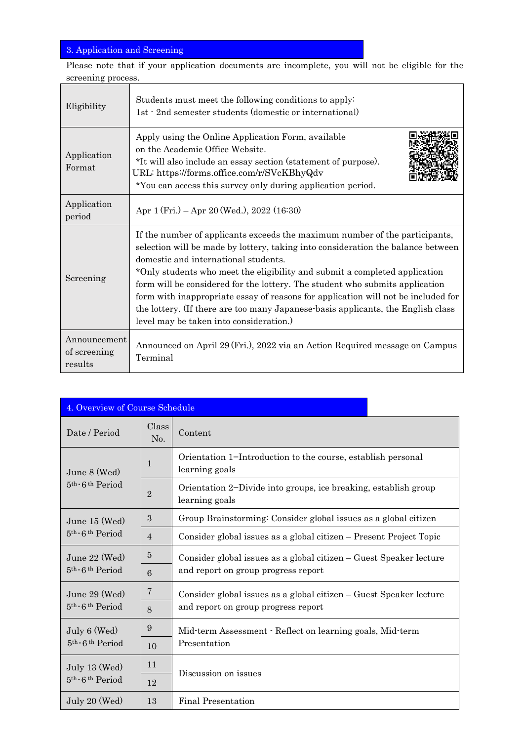## 3. Application and Screening

Please note that if your application documents are incomplete, you will not be eligible for the screening process.

| Eligibility                             | Students must meet the following conditions to apply:<br>1st · 2nd semester students (domestic or international)                                                                                                                                                                                                                                                                                                                                                                                                                                                                          |  |
|-----------------------------------------|-------------------------------------------------------------------------------------------------------------------------------------------------------------------------------------------------------------------------------------------------------------------------------------------------------------------------------------------------------------------------------------------------------------------------------------------------------------------------------------------------------------------------------------------------------------------------------------------|--|
| Application<br>Format                   | Apply using the Online Application Form, available<br>on the Academic Office Website.<br>*It will also include an essay section (statement of purpose).<br>URL: https://forms.office.com/r/SVcKBhyQdv<br>*You can access this survey only during application period.                                                                                                                                                                                                                                                                                                                      |  |
| Application<br>period                   | Apr $1$ (Fri.) – Apr $20$ (Wed.), $2022$ (16:30)                                                                                                                                                                                                                                                                                                                                                                                                                                                                                                                                          |  |
| Screening                               | If the number of applicants exceeds the maximum number of the participants,<br>selection will be made by lottery, taking into consideration the balance between<br>domestic and international students.<br>*Only students who meet the eligibility and submit a completed application<br>form will be considered for the lottery. The student who submits application<br>form with inappropriate essay of reasons for application will not be included for<br>the lottery. (If there are too many Japanese basis applicants, the English class<br>level may be taken into consideration.) |  |
| Announcement<br>of screening<br>results | Announced on April 29 (Fri.), 2022 via an Action Required message on Campus<br>Terminal                                                                                                                                                                                                                                                                                                                                                                                                                                                                                                   |  |

| 4. Overview of Course Schedule                                |                |                                                                                                           |  |  |  |
|---------------------------------------------------------------|----------------|-----------------------------------------------------------------------------------------------------------|--|--|--|
| Date / Period                                                 | Class<br>No.   | Content                                                                                                   |  |  |  |
| June 8 (Wed)<br>$5th \cdot 6th Period$                        | $\mathbf{1}$   | Orientation 1-Introduction to the course, establish personal<br>learning goals                            |  |  |  |
|                                                               | $\overline{2}$ | Orientation 2-Divide into groups, ice breaking, establish group<br>learning goals                         |  |  |  |
| June 15 (Wed)<br>$5th \cdot 6th Period$                       | 3              | Group Brainstorming: Consider global issues as a global citizen                                           |  |  |  |
|                                                               | $\overline{4}$ | Consider global issues as a global citizen – Present Project Topic                                        |  |  |  |
| June $22 \,$ (Wed)<br>$5th \cdot 6th Period$                  | 5              | Consider global issues as a global citizen – Guest Speaker lecture<br>and report on group progress report |  |  |  |
|                                                               | 6              |                                                                                                           |  |  |  |
| June $29 \, (Wed)$<br>5 <sup>th</sup> ·6 <sup>th</sup> Period | 7              | Consider global issues as a global citizen – Guest Speaker lecture                                        |  |  |  |
|                                                               | 8              | and report on group progress report                                                                       |  |  |  |
| July 6 (Wed)<br>5 <sup>th</sup> ·6 <sup>th</sup> Period       | 9              | Mid-term Assessment - Reflect on learning goals, Mid-term<br>Presentation                                 |  |  |  |
|                                                               | 10             |                                                                                                           |  |  |  |
| July 13 (Wed)<br>$5th \cdot 6th Period$                       | 11             | Discussion on issues                                                                                      |  |  |  |
|                                                               | 12             |                                                                                                           |  |  |  |
| July 20 $(Wed)$                                               | 13             | Final Presentation                                                                                        |  |  |  |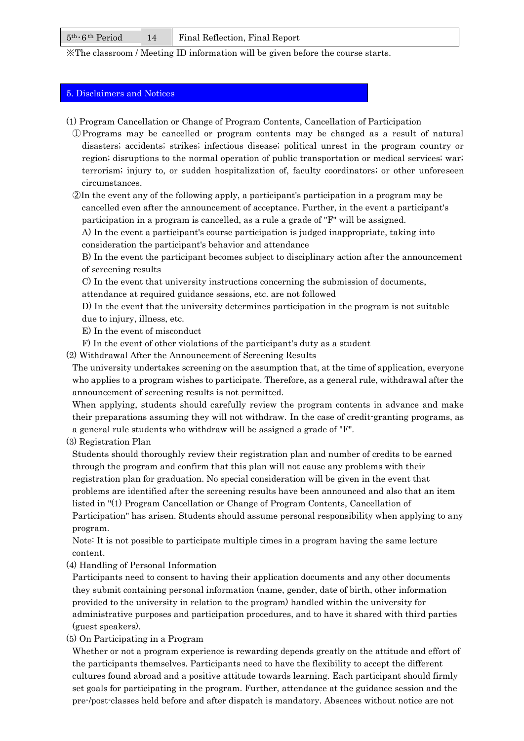| $5th \cdot 6th Period$ | <b>T</b> Final Reflection, Final Report |
|------------------------|-----------------------------------------|
|                        |                                         |

※The classroom / Meeting ID information will be given before the course starts.

## 5. Disclaimers and Notices

- (1) Program Cancellation or Change of Program Contents, Cancellation of Participation
- ①Programs may be cancelled or program contents may be changed as a result of natural disasters; accidents; strikes; infectious disease; political unrest in the program country or region; disruptions to the normal operation of public transportation or medical services; war; terrorism; injury to, or sudden hospitalization of, faculty coordinators; or other unforeseen circumstances.

②In the event any of the following apply, a participant's participation in a program may be cancelled even after the announcement of acceptance. Further, in the event a participant's participation in a program is cancelled, as a rule a grade of "F" will be assigned.

A) In the event a participant's course participation is judged inappropriate, taking into consideration the participant's behavior and attendance

B) In the event the participant becomes subject to disciplinary action after the announcement of screening results

C) In the event that university instructions concerning the submission of documents,

attendance at required guidance sessions, etc. are not followed

D) In the event that the university determines participation in the program is not suitable due to injury, illness, etc.

E) In the event of misconduct

F) In the event of other violations of the participant's duty as a student

(2) Withdrawal After the Announcement of Screening Results

The university undertakes screening on the assumption that, at the time of application, everyone who applies to a program wishes to participate. Therefore, as a general rule, withdrawal after the announcement of screening results is not permitted.

When applying, students should carefully review the program contents in advance and make their preparations assuming they will not withdraw. In the case of credit-granting programs, as a general rule students who withdraw will be assigned a grade of "F".

(3) Registration Plan

Students should thoroughly review their registration plan and number of credits to be earned through the program and confirm that this plan will not cause any problems with their registration plan for graduation. No special consideration will be given in the event that problems are identified after the screening results have been announced and also that an item listed in "(1) Program Cancellation or Change of Program Contents, Cancellation of Participation" has arisen. Students should assume personal responsibility when applying to any program.

Note: It is not possible to participate multiple times in a program having the same lecture content.

(4) Handling of Personal Information

Participants need to consent to having their application documents and any other documents they submit containing personal information (name, gender, date of birth, other information provided to the university in relation to the program) handled within the university for administrative purposes and participation procedures, and to have it shared with third parties (guest speakers).

(5) On Participating in a Program

Whether or not a program experience is rewarding depends greatly on the attitude and effort of the participants themselves. Participants need to have the flexibility to accept the different cultures found abroad and a positive attitude towards learning. Each participant should firmly set goals for participating in the program. Further, attendance at the guidance session and the pre-/post-classes held before and after dispatch is mandatory. Absences without notice are not